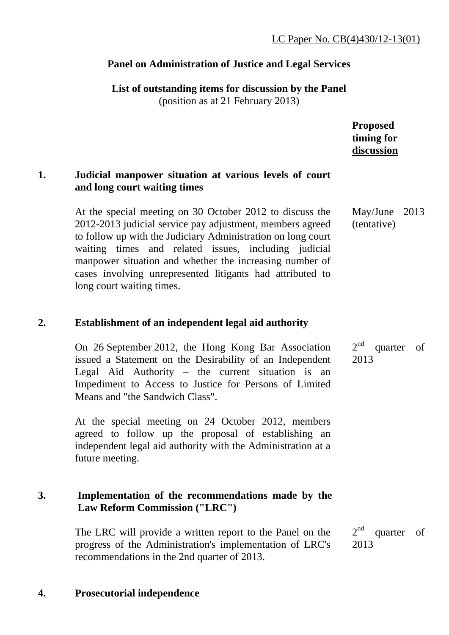# **Panel on Administration of Justice and Legal Services**

**List of outstanding items for discussion by the Panel** 

(position as at 21 February 2013)

**Proposed timing for discussion**

### **1. Judicial manpower situation at various levels of court and long court waiting times**

At the special meeting on 30 October 2012 to discuss the 2012-2013 judicial service pay adjustment, members agreed to follow up with the Judiciary Administration on long court waiting times and related issues, including judicial manpower situation and whether the increasing number of cases involving unrepresented litigants had attributed to long court waiting times. May/June 2013 (tentative)

## **2. Establishment of an independent legal aid authority**

On 26 September 2012, the Hong Kong Bar Association issued a Statement on the Desirability of an Independent Legal Aid Authority – the current situation is an Impediment to Access to Justice for Persons of Limited Means and "the Sandwich Class".  $2<sup>nd</sup>$  quarter of 2013

At the special meeting on 24 October 2012, members agreed to follow up the proposal of establishing an independent legal aid authority with the Administration at a future meeting.

### **3. Implementation of the recommendations made by the Law Reform Commission ("LRC")**

The LRC will provide a written report to the Panel on the progress of the Administration's implementation of LRC's recommendations in the 2nd quarter of 2013.

 $2<sup>nd</sup>$  quarter of 2013

## **4. Prosecutorial independence**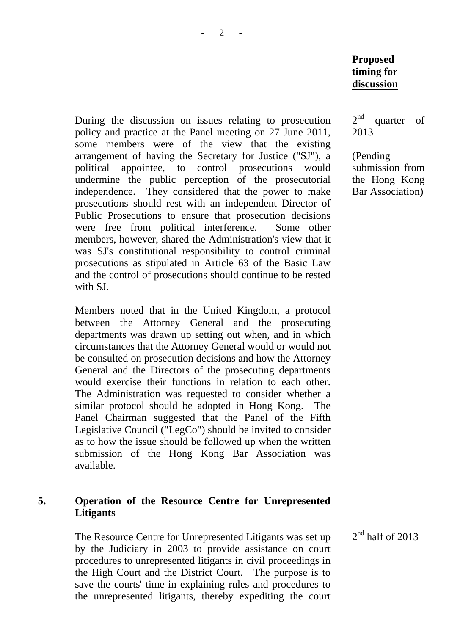During the discussion on issues relating to prosecution policy and practice at the Panel meeting on 27 June 2011, some members were of the view that the existing arrangement of having the Secretary for Justice ("SJ"), a political appointee, to control prosecutions would undermine the public perception of the prosecutorial independence. They considered that the power to make prosecutions should rest with an independent Director of Public Prosecutions to ensure that prosecution decisions were free from political interference. Some other members, however, shared the Administration's view that it was SJ's constitutional responsibility to control criminal prosecutions as stipulated in Article 63 of the Basic Law and the control of prosecutions should continue to be rested with SJ.

Members noted that in the United Kingdom, a protocol between the Attorney General and the prosecuting departments was drawn up setting out when, and in which circumstances that the Attorney General would or would not be consulted on prosecution decisions and how the Attorney General and the Directors of the prosecuting departments would exercise their functions in relation to each other. The Administration was requested to consider whether a similar protocol should be adopted in Hong Kong. The Panel Chairman suggested that the Panel of the Fifth Legislative Council ("LegCo") should be invited to consider as to how the issue should be followed up when the written submission of the Hong Kong Bar Association was available.

#### **5. Operation of the Resource Centre for Unrepresented Litigants**

The Resource Centre for Unrepresented Litigants was set up by the Judiciary in 2003 to provide assistance on court procedures to unrepresented litigants in civil proceedings in the High Court and the District Court. The purpose is to save the courts' time in explaining rules and procedures to the unrepresented litigants, thereby expediting the court  $2<sup>nd</sup>$  quarter of 2013

(Pending submission from the Hong Kong Bar Association)

 $2<sup>nd</sup>$  half of 2013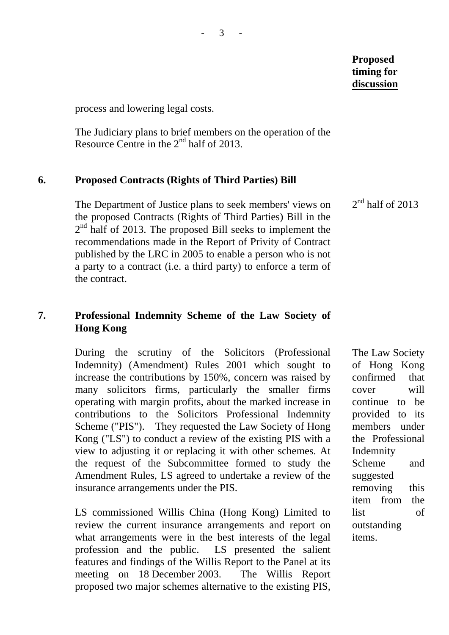process and lowering legal costs.

The Judiciary plans to brief members on the operation of the Resource Centre in the  $2<sup>nd</sup>$  half of 2013.

#### **6. Proposed Contracts (Rights of Third Parties) Bill**

The Department of Justice plans to seek members' views on the proposed Contracts (Rights of Third Parties) Bill in the  $2<sup>nd</sup>$  half of 2013. The proposed Bill seeks to implement the recommendations made in the Report of Privity of Contract published by the LRC in 2005 to enable a person who is not a party to a contract (i.e. a third party) to enforce a term of the contract.

### **7. Professional Indemnity Scheme of the Law Society of Hong Kong**

During the scrutiny of the Solicitors (Professional Indemnity) (Amendment) Rules 2001 which sought to increase the contributions by 150%, concern was raised by many solicitors firms, particularly the smaller firms operating with margin profits, about the marked increase in contributions to the Solicitors Professional Indemnity Scheme ("PIS"). They requested the Law Society of Hong Kong ("LS") to conduct a review of the existing PIS with a view to adjusting it or replacing it with other schemes. At the request of the Subcommittee formed to study the Amendment Rules, LS agreed to undertake a review of the insurance arrangements under the PIS.

LS commissioned Willis China (Hong Kong) Limited to review the current insurance arrangements and report on what arrangements were in the best interests of the legal profession and the public. LS presented the salient features and findings of the Willis Report to the Panel at its meeting on 18 December 2003. The Willis Report proposed two major schemes alternative to the existing PIS,

 $2<sup>nd</sup>$  half of 2013

The Law Society of Hong Kong confirmed that cover will continue to be provided to its members under the Professional Indemnity Scheme and suggested removing this item from the list of outstanding items.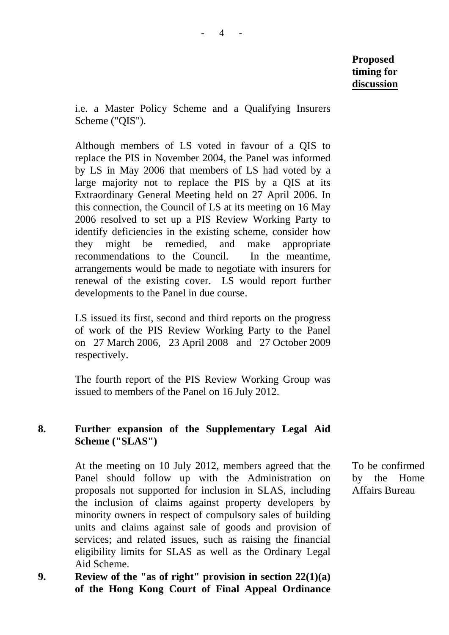i.e. a Master Policy Scheme and a Qualifying Insurers Scheme ("QIS").

Although members of LS voted in favour of a QIS to replace the PIS in November 2004, the Panel was informed by LS in May 2006 that members of LS had voted by a large majority not to replace the PIS by a QIS at its Extraordinary General Meeting held on 27 April 2006. In this connection, the Council of LS at its meeting on 16 May 2006 resolved to set up a PIS Review Working Party to identify deficiencies in the existing scheme, consider how they might be remedied, and make appropriate recommendations to the Council. In the meantime, arrangements would be made to negotiate with insurers for renewal of the existing cover. LS would report further developments to the Panel in due course.

LS issued its first, second and third reports on the progress of work of the PIS Review Working Party to the Panel on 27 March 2006, 23 April 2008 and 27 October 2009 respectively.

The fourth report of the PIS Review Working Group was issued to members of the Panel on 16 July 2012.

### **8. Further expansion of the Supplementary Legal Aid Scheme ("SLAS")**

 At the meeting on 10 July 2012, members agreed that the Panel should follow up with the Administration on proposals not supported for inclusion in SLAS, including the inclusion of claims against property developers by minority owners in respect of compulsory sales of building units and claims against sale of goods and provision of services; and related issues, such as raising the financial eligibility limits for SLAS as well as the Ordinary Legal Aid Scheme.

**9. Review of the "as of right" provision in section 22(1)(a) of the Hong Kong Court of Final Appeal Ordinance** 

To be confirmed by the Home Affairs Bureau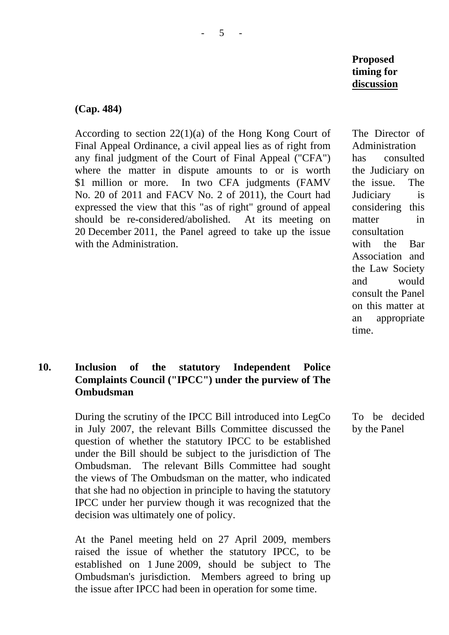The Director of Administration has consulted the Judiciary on the issue. The Judiciary is considering this matter in consultation with the Bar Association and the Law Society and would consult the Panel on this matter at an appropriate time.

To be decided by the Panel

#### **(Cap. 484)**

According to section 22(1)(a) of the Hong Kong Court of Final Appeal Ordinance, a civil appeal lies as of right from any final judgment of the Court of Final Appeal ("CFA") where the matter in dispute amounts to or is worth \$1 million or more. In two CFA judgments (FAMV No. 20 of 2011 and FACV No. 2 of 2011), the Court had expressed the view that this "as of right" ground of appeal should be re-considered/abolished. At its meeting on 20 December 2011, the Panel agreed to take up the issue with the Administration.

## **10. Inclusion of the statutory Independent Police Complaints Council ("IPCC") under the purview of The Ombudsman**

During the scrutiny of the IPCC Bill introduced into LegCo in July 2007, the relevant Bills Committee discussed the question of whether the statutory IPCC to be established under the Bill should be subject to the jurisdiction of The Ombudsman. The relevant Bills Committee had sought the views of The Ombudsman on the matter, who indicated that she had no objection in principle to having the statutory IPCC under her purview though it was recognized that the decision was ultimately one of policy.

At the Panel meeting held on 27 April 2009, members raised the issue of whether the statutory IPCC, to be established on 1 June 2009, should be subject to The Ombudsman's jurisdiction. Members agreed to bring up the issue after IPCC had been in operation for some time.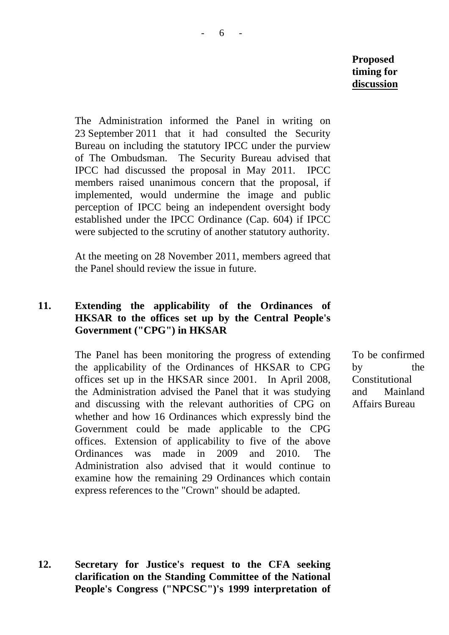The Administration informed the Panel in writing on 23 September 2011 that it had consulted the Security Bureau on including the statutory IPCC under the purview of The Ombudsman. The Security Bureau advised that IPCC had discussed the proposal in May 2011. IPCC members raised unanimous concern that the proposal, if implemented, would undermine the image and public perception of IPCC being an independent oversight body established under the IPCC Ordinance (Cap. 604) if IPCC were subjected to the scrutiny of another statutory authority.

At the meeting on 28 November 2011, members agreed that the Panel should review the issue in future.

### **11. Extending the applicability of the Ordinances of HKSAR to the offices set up by the Central People's Government ("CPG") in HKSAR**

The Panel has been monitoring the progress of extending the applicability of the Ordinances of HKSAR to CPG offices set up in the HKSAR since 2001. In April 2008, the Administration advised the Panel that it was studying and discussing with the relevant authorities of CPG on whether and how 16 Ordinances which expressly bind the Government could be made applicable to the CPG offices. Extension of applicability to five of the above Ordinances was made in 2009 and 2010. The Administration also advised that it would continue to examine how the remaining 29 Ordinances which contain express references to the "Crown" should be adapted.

To be confirmed by the Constitutional and Mainland Affairs Bureau

**12. Secretary for Justice's request to the CFA seeking clarification on the Standing Committee of the National People's Congress ("NPCSC")'s 1999 interpretation of**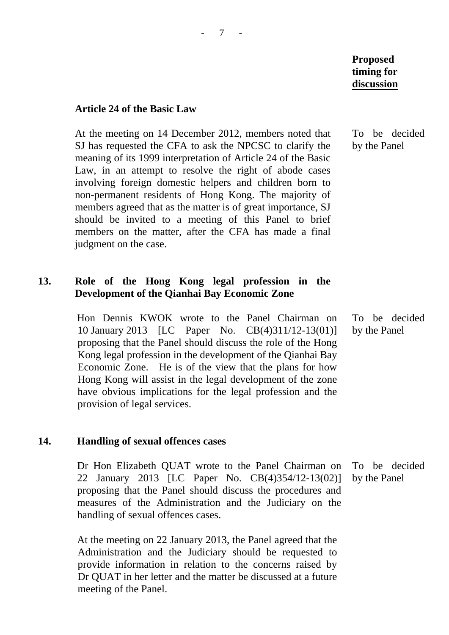#### **Article 24 of the Basic Law**

At the meeting on 14 December 2012, members noted that SJ has requested the CFA to ask the NPCSC to clarify the meaning of its 1999 interpretation of Article 24 of the Basic Law, in an attempt to resolve the right of abode cases involving foreign domestic helpers and children born to non-permanent residents of Hong Kong. The majority of members agreed that as the matter is of great importance, SJ should be invited to a meeting of this Panel to brief members on the matter, after the CFA has made a final judgment on the case.

#### **13. Role of the Hong Kong legal profession in the Development of the Qianhai Bay Economic Zone**

Hon Dennis KWOK wrote to the Panel Chairman on 10 January 2013 [LC Paper No. CB(4)311/12-13(01)] proposing that the Panel should discuss the role of the Hong Kong legal profession in the development of the Qianhai Bay Economic Zone. He is of the view that the plans for how Hong Kong will assist in the legal development of the zone have obvious implications for the legal profession and the provision of legal services.

#### **14. Handling of sexual offences cases**

Dr Hon Elizabeth QUAT wrote to the Panel Chairman on 22 January 2013 [LC Paper No. CB(4)354/12-13(02)] proposing that the Panel should discuss the procedures and measures of the Administration and the Judiciary on the handling of sexual offences cases. To be decided by the Panel

At the meeting on 22 January 2013, the Panel agreed that the Administration and the Judiciary should be requested to provide information in relation to the concerns raised by Dr QUAT in her letter and the matter be discussed at a future meeting of the Panel.

To be decided by the Panel

To be decided by the Panel